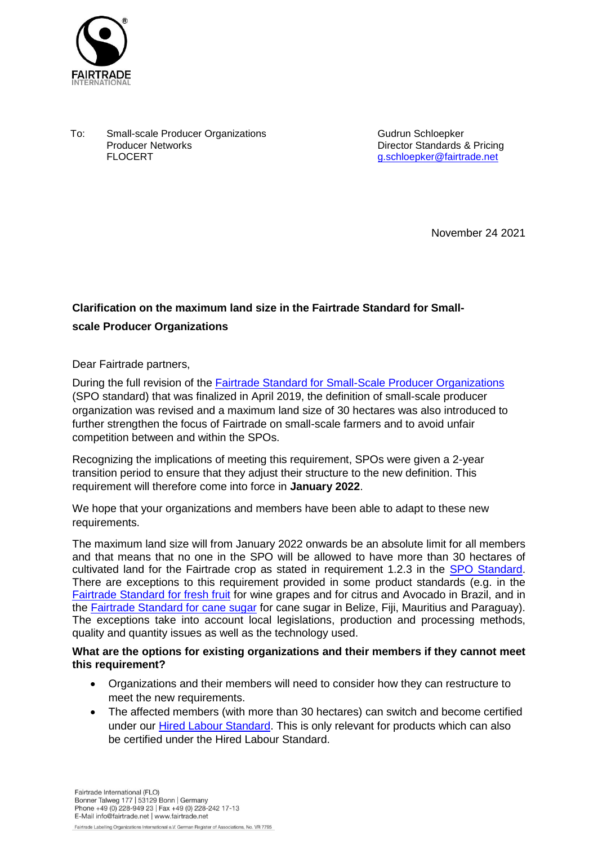

To: Small-scale Producer Organizations Producer Networks FLOCERT

Gudrun Schloepker Director Standards & Pricing [g.schloepker@fairtrade.net](mailto:g.schloepker@fairtrade.net)

November 24 2021

## **Clarification on the maximum land size in the Fairtrade Standard for Smallscale Producer Organizations**

Dear Fairtrade partners,

During the full revision of the [Fairtrade Standard for Small-Scale Producer Organizations](https://files.fairtrade.net/standards/SPO_EN.pdf) (SPO standard) that was finalized in April 2019, the definition of small-scale producer organization was revised and a maximum land size of 30 hectares was also introduced to further strengthen the focus of Fairtrade on small-scale farmers and to avoid unfair competition between and within the SPOs.

Recognizing the implications of meeting this requirement, SPOs were given a 2-year transition period to ensure that they adjust their structure to the new definition. This requirement will therefore come into force in **January 2022**.

We hope that your organizations and members have been able to adapt to these new requirements.

The maximum land size will from January 2022 onwards be an absolute limit for all members and that means that no one in the SPO will be allowed to have more than 30 hectares of cultivated land for the Fairtrade crop as stated in requirement 1.2.3 in the [SPO Standard.](https://files.fairtrade.net/standards/SPO_EN.pdf) There are exceptions to this requirement provided in some product standards (e.g. in the [Fairtrade Standard for fresh fruit](https://files.fairtrade.net/standards/Fresh_Fruit_SPO_EN.pdf) for wine grapes and for citrus and Avocado in Brazil, and in the [Fairtrade Standard for cane sugar](https://files.fairtrade.net/standards/Cane_Sugar_SPO_EN.pdf) for cane sugar in Belize, Fiji, Mauritius and Paraguay). The exceptions take into account local legislations, production and processing methods, quality and quantity issues as well as the technology used.

## **What are the options for existing organizations and their members if they cannot meet this requirement?**

- Organizations and their members will need to consider how they can restructure to meet the new requirements.
- The affected members (with more than 30 hectares) can switch and become certified under our [Hired Labour Standard.](https://files.fairtrade.net/HL_EN.pdf) This is only relevant for products which can also be certified under the Hired Labour Standard.